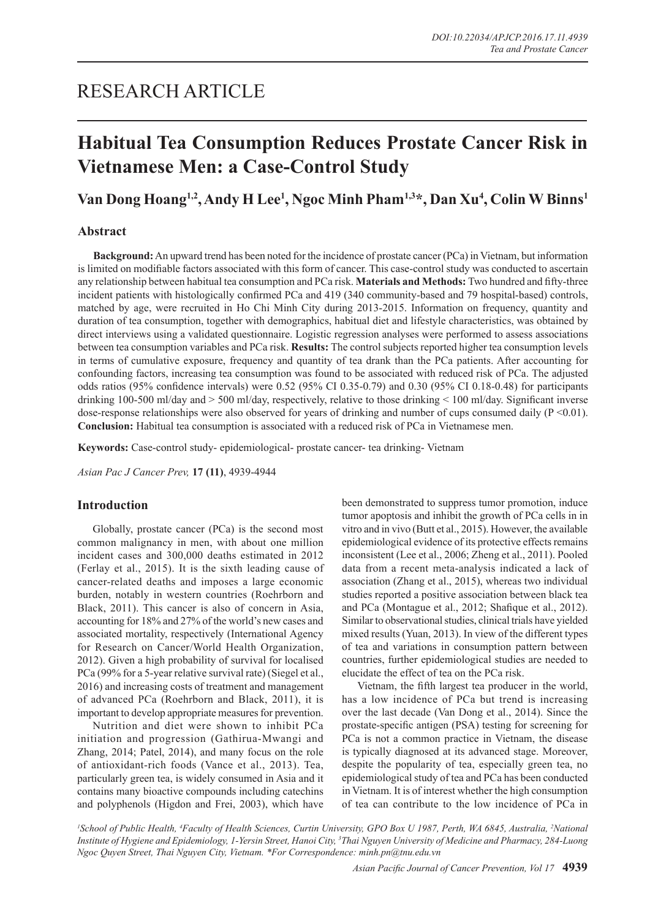## RESEARCH ARTICLE

# **Habitual Tea Consumption Reduces Prostate Cancer Risk in Vietnamese Men: a Case-Control Study**

## **Van Dong Hoang1,2, Andy H Lee1 , Ngoc Minh Pham1,3\*, Dan Xu4 , Colin W Binns1**

## **Abstract**

**Background:** An upward trend has been noted for the incidence of prostate cancer (PCa) in Vietnam, but information is limited on modifiable factors associated with this form of cancer. This case-control study was conducted to ascertain any relationship between habitual tea consumption and PCa risk. **Materials and Methods:** Two hundred and fifty-three incident patients with histologically confirmed PCa and 419 (340 community-based and 79 hospital-based) controls, matched by age, were recruited in Ho Chi Minh City during 2013-2015. Information on frequency, quantity and duration of tea consumption, together with demographics, habitual diet and lifestyle characteristics, was obtained by direct interviews using a validated questionnaire. Logistic regression analyses were performed to assess associations between tea consumption variables and PCa risk. **Results:** The control subjects reported higher tea consumption levels in terms of cumulative exposure, frequency and quantity of tea drank than the PCa patients. After accounting for confounding factors, increasing tea consumption was found to be associated with reduced risk of PCa. The adjusted odds ratios (95% confidence intervals) were 0.52 (95% CI 0.35-0.79) and 0.30 (95% CI 0.18-0.48) for participants drinking 100-500 ml/day and > 500 ml/day, respectively, relative to those drinking < 100 ml/day. Significant inverse dose-response relationships were also observed for years of drinking and number of cups consumed daily ( $P \le 0.01$ ). **Conclusion:** Habitual tea consumption is associated with a reduced risk of PCa in Vietnamese men.

**Keywords:** Case-control study- epidemiological- prostate cancer- tea drinking- Vietnam

*Asian Pac J Cancer Prev,* **17 (11)**, 4939-4944

## **Introduction**

Globally, prostate cancer (PCa) is the second most common malignancy in men, with about one million incident cases and 300,000 deaths estimated in 2012 (Ferlay et al., 2015). It is the sixth leading cause of cancer-related deaths and imposes a large economic burden, notably in western countries (Roehrborn and Black, 2011). This cancer is also of concern in Asia, accounting for 18% and 27% of the world's new cases and associated mortality, respectively (International Agency for Research on Cancer/World Health Organization, 2012). Given a high probability of survival for localised PCa (99% for a 5-year relative survival rate) (Siegel et al., 2016) and increasing costs of treatment and management of advanced PCa (Roehrborn and Black, 2011), it is important to develop appropriate measures for prevention.

Nutrition and diet were shown to inhibit PCa initiation and progression (Gathirua-Mwangi and Zhang, 2014; Patel, 2014), and many focus on the role of antioxidant-rich foods (Vance et al., 2013). Tea, particularly green tea, is widely consumed in Asia and it contains many bioactive compounds including catechins and polyphenols (Higdon and Frei, 2003), which have been demonstrated to suppress tumor promotion, induce tumor apoptosis and inhibit the growth of PCa cells in in vitro and in vivo (Butt et al., 2015). However, the available epidemiological evidence of its protective effects remains inconsistent (Lee et al., 2006; Zheng et al., 2011). Pooled data from a recent meta-analysis indicated a lack of association (Zhang et al., 2015), whereas two individual studies reported a positive association between black tea and PCa (Montague et al., 2012; Shafique et al., 2012). Similar to observational studies, clinical trials have yielded mixed results (Yuan, 2013). In view of the different types of tea and variations in consumption pattern between countries, further epidemiological studies are needed to elucidate the effect of tea on the PCa risk.

Vietnam, the fifth largest tea producer in the world, has a low incidence of PCa but trend is increasing over the last decade (Van Dong et al., 2014). Since the prostate-specific antigen (PSA) testing for screening for PCa is not a common practice in Vietnam, the disease is typically diagnosed at its advanced stage. Moreover, despite the popularity of tea, especially green tea, no epidemiological study of tea and PCa has been conducted in Vietnam. It is of interest whether the high consumption of tea can contribute to the low incidence of PCa in

<sup>1</sup>School of Public Health, <sup>4</sup>Faculty of Health Sciences, Curtin University, GPO Box U 1987, Perth, WA 6845, Australia, <sup>2</sup>National *Institute of Hygiene and Epidemiology, 1-Yersin Street, Hanoi City, 3 Thai Nguyen University of Medicine and Pharmacy, 284-Luong Ngoc Quyen Street, Thai Nguyen City, Vietnam. \*For Correspondence: minh.pn@tnu.edu.vn*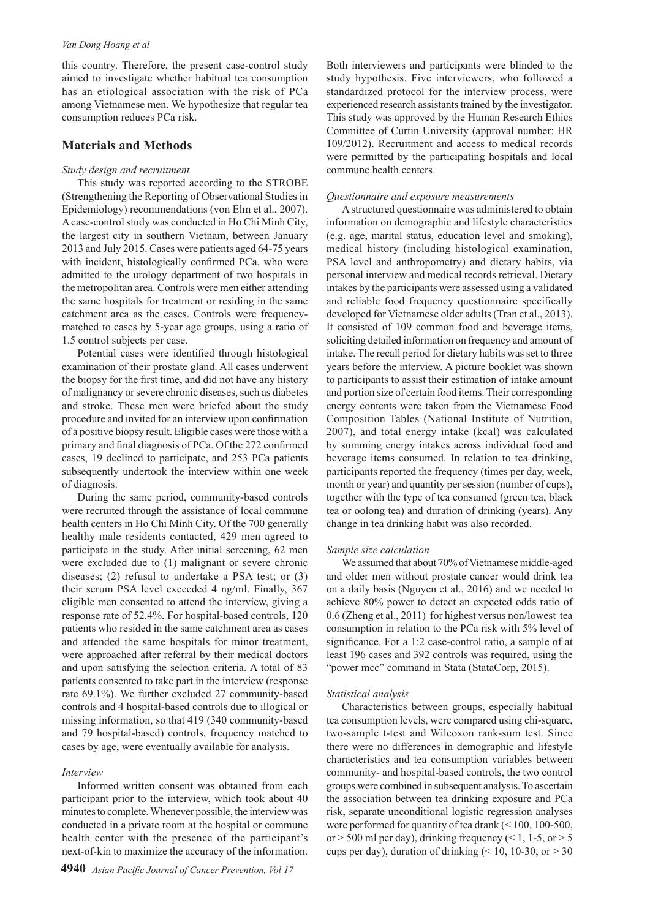#### *Van Dong Hoang et al*

this country. Therefore, the present case-control study aimed to investigate whether habitual tea consumption has an etiological association with the risk of PCa among Vietnamese men. We hypothesize that regular tea consumption reduces PCa risk.

## **Materials and Methods**

#### *Study design and recruitment*

This study was reported according to the STROBE (Strengthening the Reporting of Observational Studies in Epidemiology) recommendations (von Elm et al., 2007). A case-control study was conducted in Ho Chi Minh City, the largest city in southern Vietnam, between January 2013 and July 2015. Cases were patients aged 64-75 years with incident, histologically confirmed PCa, who were admitted to the urology department of two hospitals in the metropolitan area. Controls were men either attending the same hospitals for treatment or residing in the same catchment area as the cases. Controls were frequencymatched to cases by 5-year age groups, using a ratio of 1.5 control subjects per case.

Potential cases were identified through histological examination of their prostate gland. All cases underwent the biopsy for the first time, and did not have any history of malignancy or severe chronic diseases, such as diabetes and stroke. These men were briefed about the study procedure and invited for an interview upon confirmation of a positive biopsy result. Eligible cases were those with a primary and final diagnosis of PCa. Of the 272 confirmed cases, 19 declined to participate, and 253 PCa patients subsequently undertook the interview within one week of diagnosis.

During the same period, community-based controls were recruited through the assistance of local commune health centers in Ho Chi Minh City. Of the 700 generally healthy male residents contacted, 429 men agreed to participate in the study. After initial screening, 62 men were excluded due to (1) malignant or severe chronic diseases; (2) refusal to undertake a PSA test; or (3) their serum PSA level exceeded 4 ng/ml. Finally, 367 eligible men consented to attend the interview, giving a response rate of 52.4%. For hospital-based controls, 120 patients who resided in the same catchment area as cases and attended the same hospitals for minor treatment, were approached after referral by their medical doctors and upon satisfying the selection criteria. A total of 83 patients consented to take part in the interview (response rate 69.1%). We further excluded 27 community-based controls and 4 hospital-based controls due to illogical or missing information, so that 419 (340 community-based and 79 hospital-based) controls, frequency matched to cases by age, were eventually available for analysis.

## *Interview*

Informed written consent was obtained from each participant prior to the interview, which took about 40 minutes to complete. Whenever possible, the interview was conducted in a private room at the hospital or commune health center with the presence of the participant's next-of-kin to maximize the accuracy of the information.

Both interviewers and participants were blinded to the study hypothesis. Five interviewers, who followed a standardized protocol for the interview process, were experienced research assistants trained by the investigator. This study was approved by the Human Research Ethics Committee of Curtin University (approval number: HR 109/2012). Recruitment and access to medical records were permitted by the participating hospitals and local commune health centers.

#### *Questionnaire and exposure measurements*

A structured questionnaire was administered to obtain information on demographic and lifestyle characteristics (e.g. age, marital status, education level and smoking), medical history (including histological examination, PSA level and anthropometry) and dietary habits, via personal interview and medical records retrieval. Dietary intakes by the participants were assessed using a validated and reliable food frequency questionnaire specifically developed for Vietnamese older adults (Tran et al., 2013). It consisted of 109 common food and beverage items, soliciting detailed information on frequency and amount of intake. The recall period for dietary habits was set to three years before the interview. A picture booklet was shown to participants to assist their estimation of intake amount and portion size of certain food items. Their corresponding energy contents were taken from the Vietnamese Food Composition Tables (National Institute of Nutrition, 2007), and total energy intake (kcal) was calculated by summing energy intakes across individual food and beverage items consumed. In relation to tea drinking, participants reported the frequency (times per day, week, month or year) and quantity per session (number of cups), together with the type of tea consumed (green tea, black tea or oolong tea) and duration of drinking (years). Any change in tea drinking habit was also recorded.

#### *Sample size calculation*

We assumed that about 70% of Vietnamese middle-aged and older men without prostate cancer would drink tea on a daily basis (Nguyen et al., 2016) and we needed to achieve 80% power to detect an expected odds ratio of 0.6 (Zheng et al., 2011) for highest versus non/lowest tea consumption in relation to the PCa risk with 5% level of significance. For a 1:2 case-control ratio, a sample of at least 196 cases and 392 controls was required, using the "power mcc" command in Stata (StataCorp, 2015).

#### *Statistical analysis*

Characteristics between groups, especially habitual tea consumption levels, were compared using chi-square, two-sample t-test and Wilcoxon rank-sum test. Since there were no differences in demographic and lifestyle characteristics and tea consumption variables between community- and hospital-based controls, the two control groups were combined in subsequent analysis. To ascertain the association between tea drinking exposure and PCa risk, separate unconditional logistic regression analyses were performed for quantity of tea drank (< 100, 100-500, or  $>$  500 ml per day), drinking frequency (< 1, 1-5, or  $>$  5 cups per day), duration of drinking  $($  < 10, 10-30, or  $> 30$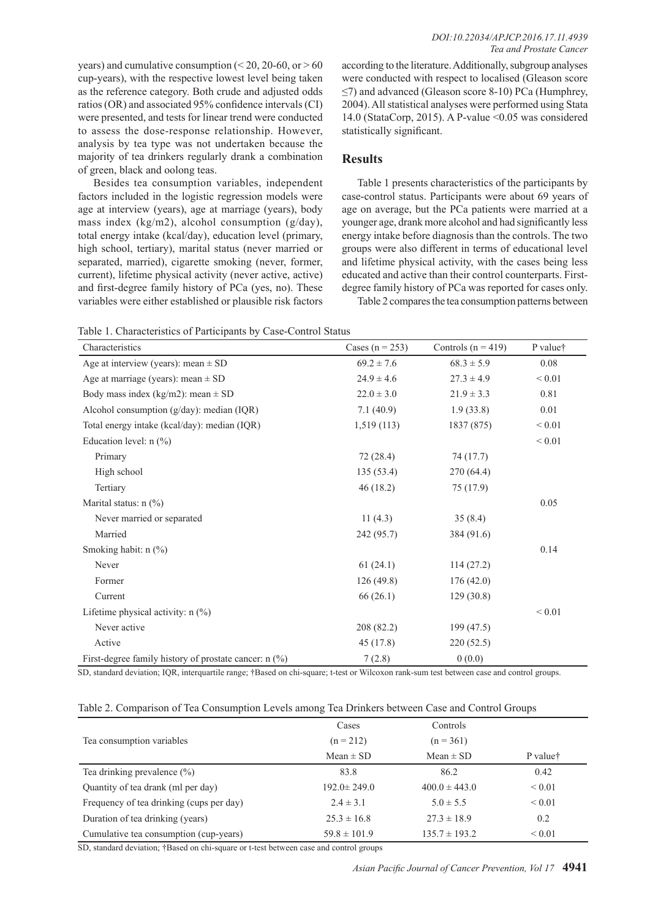years) and cumulative consumption ( $\leq$  20, 20-60, or  $>$  60 cup-years), with the respective lowest level being taken as the reference category. Both crude and adjusted odds ratios (OR) and associated 95% confidence intervals (CI) were presented, and tests for linear trend were conducted to assess the dose-response relationship. However, analysis by tea type was not undertaken because the majority of tea drinkers regularly drank a combination of green, black and oolong teas.

Besides tea consumption variables, independent factors included in the logistic regression models were age at interview (years), age at marriage (years), body mass index (kg/m2), alcohol consumption (g/day), total energy intake (kcal/day), education level (primary, high school, tertiary), marital status (never married or separated, married), cigarette smoking (never, former, current), lifetime physical activity (never active, active) and first-degree family history of PCa (yes, no). These variables were either established or plausible risk factors

according to the literature. Additionally, subgroup analyses were conducted with respect to localised (Gleason score ≤7) and advanced (Gleason score 8-10) PCa (Humphrey, 2004). All statistical analyses were performed using Stata 14.0 (StataCorp, 2015). A P-value <0.05 was considered statistically significant.

## **Results**

Table 1 presents characteristics of the participants by case-control status. Participants were about 69 years of age on average, but the PCa patients were married at a younger age, drank more alcohol and had significantly less energy intake before diagnosis than the controls. The two groups were also different in terms of educational level and lifetime physical activity, with the cases being less educated and active than their control counterparts. Firstdegree family history of PCa was reported for cases only.

Table 2 compares the tea consumption patterns between

Table 1. Characteristics of Participants by Case-Control Status

| Characteristics                                         | Cases ( $n = 253$ ) | Controls $(n = 419)$ | P value†    |
|---------------------------------------------------------|---------------------|----------------------|-------------|
| Age at interview (years): mean $\pm$ SD                 | $69.2 \pm 7.6$      | $68.3 \pm 5.9$       | 0.08        |
| Age at marriage (years): mean $\pm$ SD                  | $24.9 \pm 4.6$      | $27.3 \pm 4.9$       | ${}< 0.01$  |
| Body mass index (kg/m2): mean $\pm$ SD                  | $22.0 \pm 3.0$      | $21.9 \pm 3.3$       | 0.81        |
| Alcohol consumption $(g/day)$ : median $(IQR)$          | 7.1(40.9)           | 1.9(33.8)            | 0.01        |
| Total energy intake (kcal/day): median (IQR)            | 1,519(113)          | 1837 (875)           | ${}< 0.01$  |
| Education level: $n$ (%)                                |                     |                      | ${}< 0.01$  |
| Primary                                                 | 72(28.4)            | 74 (17.7)            |             |
| High school                                             | 135(53.4)           | 270(64.4)            |             |
| Tertiary                                                | 46(18.2)            | 75 (17.9)            |             |
| Marital status: $n$ (%)                                 |                     |                      | 0.05        |
| Never married or separated                              | 11 $(4.3)$          | 35(8.4)              |             |
| Married                                                 | 242 (95.7)          | 384 (91.6)           |             |
| Smoking habit: $n$ (%)                                  |                     |                      | 0.14        |
| Never                                                   | 61(24.1)            | 114(27.2)            |             |
| Former                                                  | 126(49.8)           | 176(42.0)            |             |
| Current                                                 | 66(26.1)            | 129(30.8)            |             |
| Lifetime physical activity: $n$ (%)                     |                     |                      | ${}_{0.01}$ |
| Never active                                            | 208 (82.2)          | 199(47.5)            |             |
| Active                                                  | 45(17.8)            | 220(52.5)            |             |
| First-degree family history of prostate cancer: $n$ (%) | 7(2.8)              | 0(0.0)               |             |

SD, standard deviation; IQR, interquartile range; †Based on chi-square; t-test or Wilcoxon rank-sum test between case and control groups.

#### Table 2. Comparison of Tea Consumption Levels among Tea Drinkers between Case and Control Groups

|                                          | Cases             | Controls          |                      |
|------------------------------------------|-------------------|-------------------|----------------------|
| Tea consumption variables                | $(n = 212)$       | $(n = 361)$       |                      |
|                                          | $Mean \pm SD$     | $Mean \pm SD$     | P value <sup>†</sup> |
| Tea drinking prevalence $(\%)$           | 83.8              | 86.2              | 0.42                 |
| Quantity of tea drank (ml per day)       | $192.0 \pm 249.0$ | $400.0 \pm 443.0$ | ${}_{0.01}$          |
| Frequency of tea drinking (cups per day) | $2.4 \pm 3.1$     | $5.0 \pm 5.5$     | ${}_{0.01}$          |
| Duration of tea drinking (years)         | $25.3 \pm 16.8$   | $27.3 \pm 18.9$   | 0.2                  |
| Cumulative tea consumption (cup-years)   | $59.8 \pm 101.9$  | $135.7 \pm 193.2$ | ${}_{0.01}$          |

SD, standard deviation; †Based on chi-square or t-test between case and control groups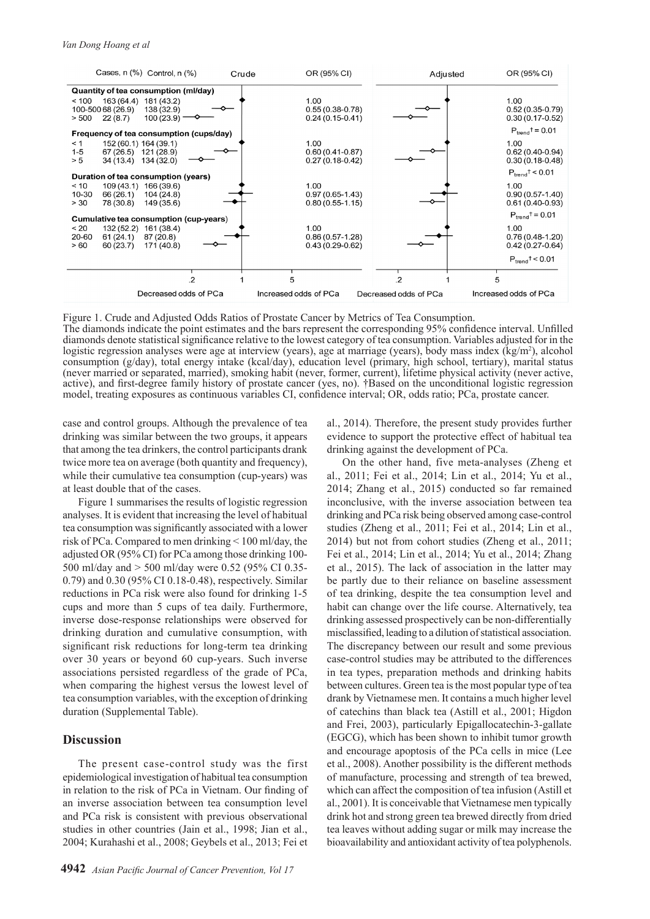

Figure 1. Crude and Adjusted Odds Ratios of Prostate Cancer by Metrics of Tea Consumption.

The diamonds indicate the point estimates and the bars represent the corresponding 95% confidence interval. Unfilled diamonds denote statistical significance relative to the lowest category of tea consumption. Variables adjusted for in the logistic regression analyses were age at interview (years), age at marriage (years), body mass index (kg/m<sup>2</sup>), alcohol consumption (g/day), total energy intake (kcal/day), education level (primary, high school, tertiary), marital status (never married or separated, married), smoking habit (never, former, current), lifetime physical activity (never active, active), and first-degree family history of prostate cancer (yes, no). †Based on the unconditional logistic regression model, treating exposures as continuous variables CI, confidence interval; OR, odds ratio; PCa, prostate cancer.

case and control groups. Although the prevalence of tea drinking was similar between the two groups, it appears that among the tea drinkers, the control participants drank twice more tea on average (both quantity and frequency), while their cumulative tea consumption (cup-years) was at least double that of the cases.

Figure 1 summarises the results of logistic regression analyses. It is evident that increasing the level of habitual tea consumption was significantly associated with a lower risk of PCa. Compared to men drinking < 100 ml/day, the adjusted OR (95% CI) for PCa among those drinking 100- 500 ml/day and > 500 ml/day were 0.52 (95% CI 0.35- 0.79) and 0.30 (95% CI 0.18-0.48), respectively. Similar reductions in PCa risk were also found for drinking 1-5 cups and more than 5 cups of tea daily. Furthermore, inverse dose-response relationships were observed for drinking duration and cumulative consumption, with significant risk reductions for long-term tea drinking over 30 years or beyond 60 cup-years. Such inverse associations persisted regardless of the grade of PCa, when comparing the highest versus the lowest level of tea consumption variables, with the exception of drinking duration (Supplemental Table).

## **Discussion**

The present case-control study was the first epidemiological investigation of habitual tea consumption in relation to the risk of PCa in Vietnam. Our finding of an inverse association between tea consumption level and PCa risk is consistent with previous observational studies in other countries (Jain et al., 1998; Jian et al., 2004; Kurahashi et al., 2008; Geybels et al., 2013; Fei et

al., 2014). Therefore, the present study provides further evidence to support the protective effect of habitual tea drinking against the development of PCa.

On the other hand, five meta-analyses (Zheng et al., 2011; Fei et al., 2014; Lin et al., 2014; Yu et al., 2014; Zhang et al., 2015) conducted so far remained inconclusive, with the inverse association between tea drinking and PCa risk being observed among case-control studies (Zheng et al., 2011; Fei et al., 2014; Lin et al., 2014) but not from cohort studies (Zheng et al., 2011; Fei et al., 2014; Lin et al., 2014; Yu et al., 2014; Zhang et al., 2015). The lack of association in the latter may be partly due to their reliance on baseline assessment of tea drinking, despite the tea consumption level and habit can change over the life course. Alternatively, tea drinking assessed prospectively can be non-differentially misclassified, leading to a dilution of statistical association. The discrepancy between our result and some previous case-control studies may be attributed to the differences in tea types, preparation methods and drinking habits between cultures. Green tea is the most popular type of tea drank by Vietnamese men. It contains a much higher level of catechins than black tea (Astill et al., 2001; Higdon and Frei, 2003), particularly Epigallocatechin-3-gallate (EGCG), which has been shown to inhibit tumor growth and encourage apoptosis of the PCa cells in mice (Lee et al., 2008). Another possibility is the different methods of manufacture, processing and strength of tea brewed, which can affect the composition of tea infusion (Astill et al., 2001). It is conceivable that Vietnamese men typically drink hot and strong green tea brewed directly from dried tea leaves without adding sugar or milk may increase the bioavailability and antioxidant activity of tea polyphenols.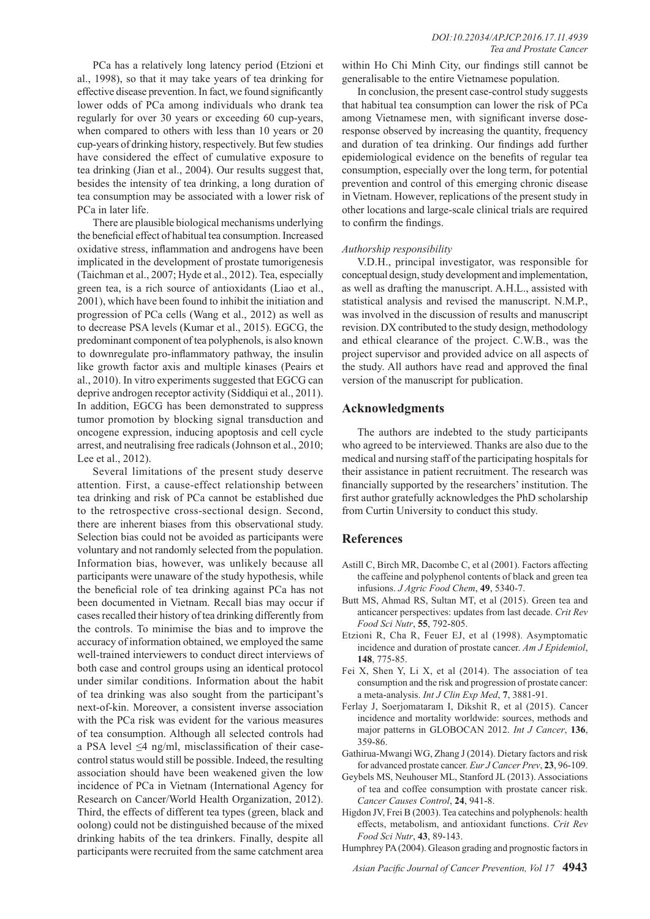PCa has a relatively long latency period (Etzioni et al., 1998), so that it may take years of tea drinking for effective disease prevention. In fact, we found significantly lower odds of PCa among individuals who drank tea regularly for over 30 years or exceeding 60 cup-years, when compared to others with less than 10 years or 20 cup-years of drinking history, respectively. But few studies have considered the effect of cumulative exposure to tea drinking (Jian et al., 2004). Our results suggest that, besides the intensity of tea drinking, a long duration of tea consumption may be associated with a lower risk of PCa in later life.

There are plausible biological mechanisms underlying the beneficial effect of habitual tea consumption. Increased oxidative stress, inflammation and androgens have been implicated in the development of prostate tumorigenesis (Taichman et al., 2007; Hyde et al., 2012). Tea, especially green tea, is a rich source of antioxidants (Liao et al., 2001), which have been found to inhibit the initiation and progression of PCa cells (Wang et al., 2012) as well as to decrease PSA levels (Kumar et al., 2015). EGCG, the predominant component of tea polyphenols, is also known to downregulate pro-inflammatory pathway, the insulin like growth factor axis and multiple kinases (Peairs et al., 2010). In vitro experiments suggested that EGCG can deprive androgen receptor activity (Siddiqui et al., 2011). In addition, EGCG has been demonstrated to suppress tumor promotion by blocking signal transduction and oncogene expression, inducing apoptosis and cell cycle arrest, and neutralising free radicals (Johnson et al., 2010; Lee et al., 2012).

Several limitations of the present study deserve attention. First, a cause-effect relationship between tea drinking and risk of PCa cannot be established due to the retrospective cross-sectional design. Second, there are inherent biases from this observational study. Selection bias could not be avoided as participants were voluntary and not randomly selected from the population. Information bias, however, was unlikely because all participants were unaware of the study hypothesis, while the beneficial role of tea drinking against PCa has not been documented in Vietnam. Recall bias may occur if cases recalled their history of tea drinking differently from the controls. To minimise the bias and to improve the accuracy of information obtained, we employed the same well-trained interviewers to conduct direct interviews of both case and control groups using an identical protocol under similar conditions. Information about the habit of tea drinking was also sought from the participant's next-of-kin. Moreover, a consistent inverse association with the PCa risk was evident for the various measures of tea consumption. Although all selected controls had a PSA level  $\leq$ 4 ng/ml, misclassification of their casecontrol status would still be possible. Indeed, the resulting association should have been weakened given the low incidence of PCa in Vietnam (International Agency for Research on Cancer/World Health Organization, 2012). Third, the effects of different tea types (green, black and oolong) could not be distinguished because of the mixed drinking habits of the tea drinkers. Finally, despite all participants were recruited from the same catchment area

within Ho Chi Minh City, our findings still cannot be generalisable to the entire Vietnamese population.

In conclusion, the present case-control study suggests that habitual tea consumption can lower the risk of PCa among Vietnamese men, with significant inverse doseresponse observed by increasing the quantity, frequency and duration of tea drinking. Our findings add further epidemiological evidence on the benefits of regular tea consumption, especially over the long term, for potential prevention and control of this emerging chronic disease in Vietnam. However, replications of the present study in other locations and large-scale clinical trials are required to confirm the findings.

#### *Authorship responsibility*

V.D.H., principal investigator, was responsible for conceptual design, study development and implementation, as well as drafting the manuscript. A.H.L., assisted with statistical analysis and revised the manuscript. N.M.P., was involved in the discussion of results and manuscript revision. DX contributed to the study design, methodology and ethical clearance of the project. C.W.B., was the project supervisor and provided advice on all aspects of the study. All authors have read and approved the final version of the manuscript for publication.

## **Acknowledgments**

The authors are indebted to the study participants who agreed to be interviewed. Thanks are also due to the medical and nursing staff of the participating hospitals for their assistance in patient recruitment. The research was financially supported by the researchers' institution. The first author gratefully acknowledges the PhD scholarship from Curtin University to conduct this study.

## **References**

- Astill C, Birch MR, Dacombe C, et al (2001). Factors affecting the caffeine and polyphenol contents of black and green tea infusions. *J Agric Food Chem*, **49**, 5340-7.
- Butt MS, Ahmad RS, Sultan MT, et al (2015). Green tea and anticancer perspectives: updates from last decade. *Crit Rev Food Sci Nutr*, **55**, 792-805.
- Etzioni R, Cha R, Feuer EJ, et al (1998). Asymptomatic incidence and duration of prostate cancer. *Am J Epidemiol*, **148**, 775-85.
- Fei X, Shen Y, Li X, et al (2014). The association of tea consumption and the risk and progression of prostate cancer: a meta-analysis. *Int J Clin Exp Med*, **7**, 3881-91.
- Ferlay J, Soerjomataram I, Dikshit R, et al (2015). Cancer incidence and mortality worldwide: sources, methods and major patterns in GLOBOCAN 2012. *Int J Cancer*, **136**, 359-86.
- Gathirua-Mwangi WG, Zhang J (2014). Dietary factors and risk for advanced prostate cancer. *Eur J Cancer Prev*, **23**, 96-109.
- Geybels MS, Neuhouser ML, Stanford JL (2013). Associations of tea and coffee consumption with prostate cancer risk. *Cancer Causes Control*, **24**, 941-8.
- Higdon JV, Frei B (2003). Tea catechins and polyphenols: health effects, metabolism, and antioxidant functions. *Crit Rev Food Sci Nutr*, **43**, 89-143.
- Humphrey PA (2004). Gleason grading and prognostic factors in

*Asian Pacific Journal of Cancer Prevention, Vol 17* **4943**